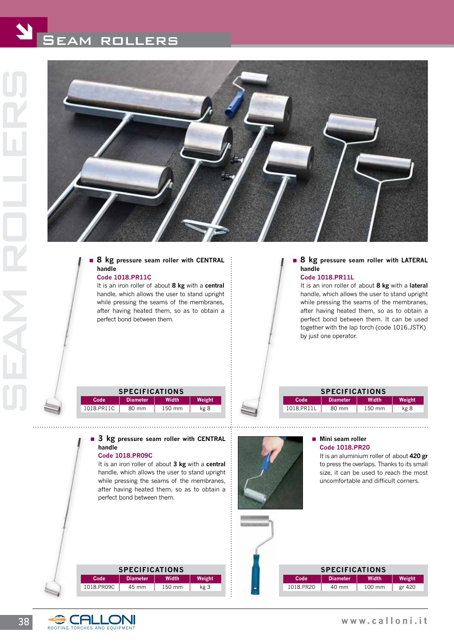

# **8 kg pressure seam roller with CENTRAL handle**

### **code 1018.PR11C**

 It is an iron roller of about **8 kg** with a **central** handle, which allows the user to stand upright while pressing the seams of the membranes, after having heated them, so as to obtain a perfect bond between them.

# **8 kg pressure seam roller with LATERAL handle**

#### **code 1018.PR11L**

 It is an iron roller of about **8 kg** with a **lateral** handle, which allows the user to stand upright while pressing the seams of the membranes, after having heated them, so as to obtain a perfect bond between them. It can be used together with the lap torch (code 1016.JSTK) by just one operator.

| <b>SPECIFICATIONS</b> |                 |        |        |
|-----------------------|-----------------|--------|--------|
| Code                  | <b>Diameter</b> | Width  | Weight |
| 1018.PR11C            | 80 mm           | 150 mm | kg 8   |

**3 kg pressure seam roller with CENTRAL** 

 It is an iron roller of about **3 kg** with a **central** handle, which allows the user to stand upright while pressing the seams of the membranes, after having heated them, so as to obtain a

| <b>SPECIFICATIONS</b> |                 |        |        |
|-----------------------|-----------------|--------|--------|
| Code                  | <b>Diameter</b> | Width  | Weight |
| 1018.PR11L            | 80 mm           | 150 mm | kg 8   |



#### **Mini seam roller code 1018.PR20**

 It is an aluminium roller of about **420 gr**  to press the overlaps. Thanks to its small size, it can be used to reach the most uncomfortable and difficult corners.

| <b>SPECIFICATIONS</b> |                 |        |        |
|-----------------------|-----------------|--------|--------|
| Code                  | <b>Diameter</b> | Width  | Weight |
| 1018.PR09C            | 45 mm           | 150 mm | kg 3   |
|                       |                 |        |        |

| <b>SPECIFICATIONS</b> |                 |                  |        |
|-----------------------|-----------------|------------------|--------|
| Code                  | <b>Diameter</b> | Width            | Weight |
| 1018.PR20             | 40 mm           | $100 \text{ mm}$ | gr 420 |



**handle**

 **code 1018.PR09C**

perfect bond between them.